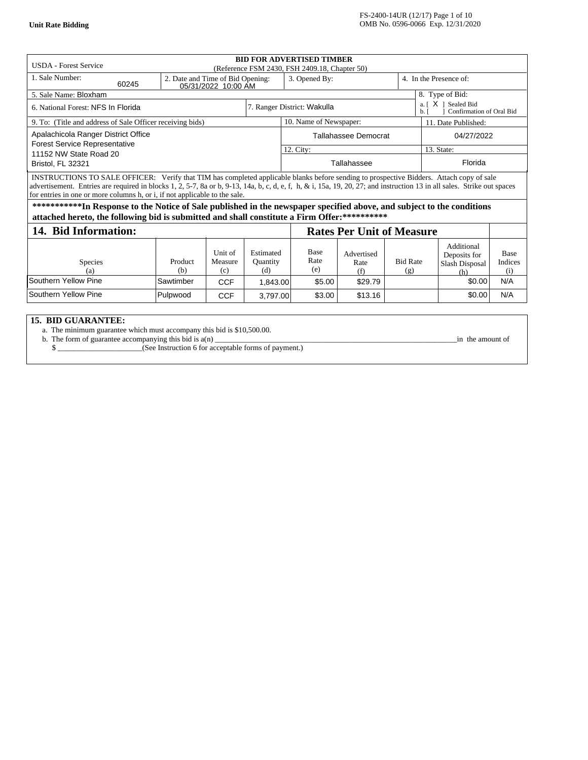| <b>BID FOR ADVERTISED TIMBER</b><br><b>USDA</b> - Forest Service<br>(Reference FSM 2430, FSH 2409.18, Chapter 50)                                                                                                                                                                                                                                                                                    |                                                         |                           |                                     |                                  |                           |                                                               |                                                     |                               |  |  |
|------------------------------------------------------------------------------------------------------------------------------------------------------------------------------------------------------------------------------------------------------------------------------------------------------------------------------------------------------------------------------------------------------|---------------------------------------------------------|---------------------------|-------------------------------------|----------------------------------|---------------------------|---------------------------------------------------------------|-----------------------------------------------------|-------------------------------|--|--|
| 1. Sale Number:<br>60245                                                                                                                                                                                                                                                                                                                                                                             | 2. Date and Time of Bid Opening:<br>05/31/2022 10:00 AM |                           |                                     | 3. Opened By:                    |                           | 4. In the Presence of:                                        |                                                     |                               |  |  |
| 5. Sale Name: Bloxham                                                                                                                                                                                                                                                                                                                                                                                |                                                         |                           |                                     | 8. Type of Bid:                  |                           |                                                               |                                                     |                               |  |  |
| 6. National Forest: NFS In Florida                                                                                                                                                                                                                                                                                                                                                                   |                                                         |                           | 7. Ranger District: Wakulla         |                                  |                           | X 1 Sealed Bid<br>a. I<br>Confirmation of Oral Bid<br>$h_{1}$ |                                                     |                               |  |  |
| 9. To: (Title and address of Sale Officer receiving bids)                                                                                                                                                                                                                                                                                                                                            |                                                         |                           |                                     | 10. Name of Newspaper:           |                           |                                                               | 11. Date Published:                                 |                               |  |  |
| Apalachicola Ranger District Office<br><b>Forest Service Representative</b>                                                                                                                                                                                                                                                                                                                          |                                                         |                           |                                     | Tallahassee Democrat             |                           | 04/27/2022                                                    |                                                     |                               |  |  |
| 11152 NW State Road 20                                                                                                                                                                                                                                                                                                                                                                               |                                                         |                           |                                     | 12. City:                        |                           |                                                               | 13. State:                                          |                               |  |  |
| Bristol, FL 32321                                                                                                                                                                                                                                                                                                                                                                                    |                                                         |                           |                                     | Tallahassee                      |                           |                                                               | Florida                                             |                               |  |  |
| INSTRUCTIONS TO SALE OFFICER: Verify that TIM has completed applicable blanks before sending to prospective Bidders. Attach copy of sale<br>advertisement. Entries are required in blocks $1, 2, 5$ -7, 8a or b, 9-13, 14a, b, c, d, e, f, h, & i, 15a, 19, 20, 27; and instruction 13 in all sales. Strike out spaces<br>for entries in one or more columns h, or i, if not applicable to the sale. |                                                         |                           |                                     |                                  |                           |                                                               |                                                     |                               |  |  |
| ***********In Response to the Notice of Sale published in the newspaper specified above, and subject to the conditions<br>attached hereto, the following bid is submitted and shall constitute a Firm Offer:**********                                                                                                                                                                               |                                                         |                           |                                     |                                  |                           |                                                               |                                                     |                               |  |  |
| 14. Bid Information:                                                                                                                                                                                                                                                                                                                                                                                 |                                                         |                           |                                     | <b>Rates Per Unit of Measure</b> |                           |                                                               |                                                     |                               |  |  |
| <b>Species</b><br>(a)                                                                                                                                                                                                                                                                                                                                                                                | Product<br>(b)                                          | Unit of<br>Measure<br>(c) | Estimated<br><b>Quantity</b><br>(d) | <b>Base</b><br>Rate<br>(e)       | Advertised<br>Rate<br>(f) | <b>Bid Rate</b><br>(g)                                        | Additional<br>Deposits for<br>Slash Disposal<br>(h) | <b>Base</b><br>Indices<br>(i) |  |  |
| Southern Yellow Pine                                                                                                                                                                                                                                                                                                                                                                                 | Sawtimber                                               | <b>CCF</b>                | 1,843.00                            | \$5.00                           | \$29.79                   |                                                               | \$0.00                                              | N/A                           |  |  |
| Southern Yellow Pine                                                                                                                                                                                                                                                                                                                                                                                 | Pulpwood                                                | <b>CCF</b>                | 3,797.00                            | \$3.00                           | \$13.16                   |                                                               | \$0.00                                              | N/A                           |  |  |

# **15. BID GUARANTEE:**

a. The minimum guarantee which must accompany this bid is \$[10,500.00.](https://10,500.00)

b. The form of guarantee accompanying this bid is a(n) \_\_\_\_\_\_\_\_\_\_\_\_\_\_\_\_\_\_\_\_\_\_\_\_\_\_\_\_\_\_\_\_\_\_\_\_\_\_\_\_\_\_\_\_\_\_\_\_\_\_\_\_\_\_\_\_\_\_\_\_\_\_\_in the amount of

\$ \_\_\_\_\_\_\_\_\_\_\_\_\_\_\_\_\_\_\_\_\_\_(See Instruction 6 for acceptable forms of payment.)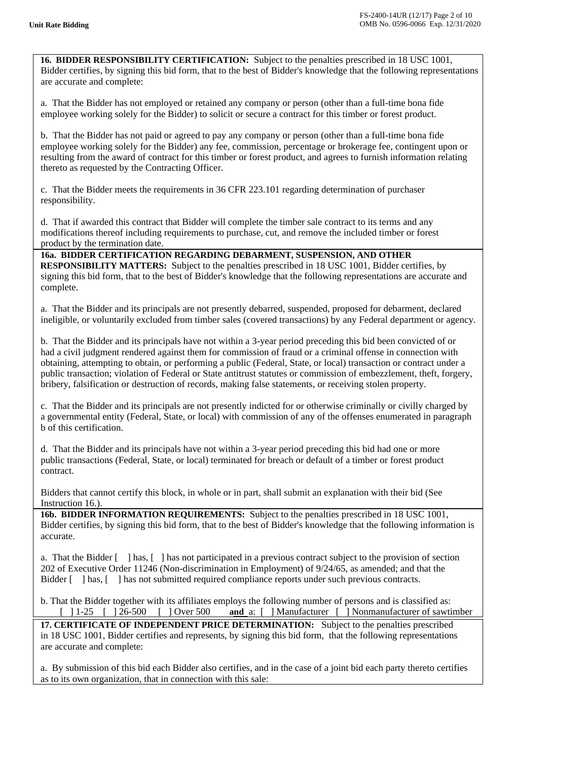**16. BIDDER RESPONSIBILITY CERTIFICATION:** Subject to the penalties prescribed in 18 USC 1001, Bidder certifies, by signing this bid form, that to the best of Bidder's knowledge that the following representations are accurate and complete:

a. That the Bidder has not employed or retained any company or person (other than a full-time bona fide employee working solely for the Bidder) to solicit or secure a contract for this timber or forest product.

b. That the Bidder has not paid or agreed to pay any company or person (other than a full-time bona fide employee working solely for the Bidder) any fee, commission, percentage or brokerage fee, contingent upon or resulting from the award of contract for this timber or forest product, and agrees to furnish information relating thereto as requested by the Contracting Officer.

c. That the Bidder meets the requirements in 36 CFR 223.101 regarding determination of purchaser responsibility.

d. That if awarded this contract that Bidder will complete the timber sale contract to its terms and any modifications thereof including requirements to purchase, cut, and remove the included timber or forest product by the termination date.

 **16a. BIDDER CERTIFICATION REGARDING DEBARMENT, SUSPENSION, AND OTHER RESPONSIBILITY MATTERS:** Subject to the penalties prescribed in 18 USC 1001, Bidder certifies, by signing this bid form, that to the best of Bidder's knowledge that the following representations are accurate and complete.

a. That the Bidder and its principals are not presently debarred, suspended, proposed for debarment, declared ineligible, or voluntarily excluded from timber sales (covered transactions) by any Federal department or agency.

b. That the Bidder and its principals have not within a 3-year period preceding this bid been convicted of or had a civil judgment rendered against them for commission of fraud or a criminal offense in connection with obtaining, attempting to obtain, or performing a public (Federal, State, or local) transaction or contract under a public transaction; violation of Federal or State antitrust statutes or commission of embezzlement, theft, forgery, bribery, falsification or destruction of records, making false statements, or receiving stolen property.

c. That the Bidder and its principals are not presently indicted for or otherwise criminally or civilly charged by a governmental entity (Federal, State, or local) with commission of any of the offenses enumerated in paragraph b of this certification.

d. That the Bidder and its principals have not within a 3-year period preceding this bid had one or more public transactions (Federal, State, or local) terminated for breach or default of a timber or forest product contract.

Bidders that cannot certify this block, in whole or in part, shall submit an explanation with their bid (See Instruction 16.).

**16b. BIDDER INFORMATION REQUIREMENTS:** Subject to the penalties prescribed in 18 USC 1001, Bidder certifies, by signing this bid form, that to the best of Bidder's knowledge that the following information is accurate.

a. That the Bidder [ ] has, [ ] has not participated in a previous contract subject to the provision of section 202 of Executive Order 11246 (Non-discrimination in Employment) of 9/24/65, as amended; and that the Bidder [ ] has, [ ] has not submitted required compliance reports under such previous contracts.

b. That the Bidder together with its affiliates employs the following number of persons and is classified as:<br>
[ ] 1-25 [ ] 26-500 [ ] Over 500 and a: [ ] Manufacturer [ ] Nonmanufacturer of sawti and a: [ ] Manufacturer [ ] Nonmanufacturer of sawtimber

 **17. CERTIFICATE OF INDEPENDENT PRICE DETERMINATION:** Subject to the penalties prescribed in 18 USC 1001, Bidder certifies and represents, by signing this bid form, that the following representations are accurate and complete:

a. By submission of this bid each Bidder also certifies, and in the case of a joint bid each party thereto certifies as to its own organization, that in connection with this sale: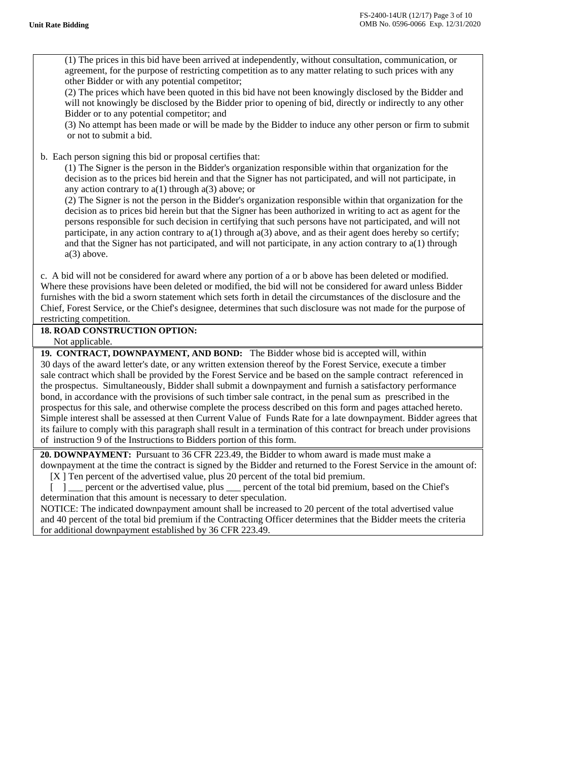(1) The prices in this bid have been arrived at independently, without consultation, communication, or agreement, for the purpose of restricting competition as to any matter relating to such prices with any other Bidder or with any potential competitor;

(2) The prices which have been quoted in this bid have not been knowingly disclosed by the Bidder and will not knowingly be disclosed by the Bidder prior to opening of bid, directly or indirectly to any other Bidder or to any potential competitor; and

(3) No attempt has been made or will be made by the Bidder to induce any other person or firm to submit or not to submit a bid.

b. Each person signing this bid or proposal certifies that:

(1) The Signer is the person in the Bidder's organization responsible within that organization for the decision as to the prices bid herein and that the Signer has not participated, and will not participate, in any action contrary to  $a(1)$  through  $a(3)$  above; or

(2) The Signer is not the person in the Bidder's organization responsible within that organization for the decision as to prices bid herein but that the Signer has been authorized in writing to act as agent for the persons responsible for such decision in certifying that such persons have not participated, and will not participate, in any action contrary to a(1) through a(3) above, and as their agent does hereby so certify; and that the Signer has not participated, and will not participate, in any action contrary to a(1) through a(3) above.

c. A bid will not be considered for award where any portion of a or b above has been deleted or modified. Where these provisions have been deleted or modified, the bid will not be considered for award unless Bidder furnishes with the bid a sworn statement which sets forth in detail the circumstances of the disclosure and the Chief, Forest Service, or the Chief's designee, determines that such disclosure was not made for the purpose of restricting competition.

**18. ROAD CONSTRUCTION OPTION:** Not applicable.

 **19. CONTRACT, DOWNPAYMENT, AND BOND:** The Bidder whose bid is accepted will, within 30 days of the award letter's date, or any written extension thereof by the Forest Service, execute a timber sale contract which shall be provided by the Forest Service and be based on the sample contract referenced in the prospectus. Simultaneously, Bidder shall submit a downpayment and furnish a satisfactory performance bond, in accordance with the provisions of such timber sale contract, in the penal sum as prescribed in the prospectus for this sale, and otherwise complete the process described on this form and pages attached hereto. Simple interest shall be assessed at then Current Value of Funds Rate for a late downpayment. Bidder agrees that its failure to comply with this paragraph shall result in a termination of this contract for breach under provisions of instruction 9 of the Instructions to Bidders portion of this form.

**20. DOWNPAYMENT:** Pursuant to 36 CFR 223.49, the Bidder to whom award is made must make a downpayment at the time the contract is signed by the Bidder and returned to the Forest Service in the amount of: [X ] Ten percent of the advertised value, plus 20 percent of the total bid premium.

[ ] \_\_\_ percent or the advertised value, plus \_\_\_ percent of the total bid premium, based on the Chief's determination that this amount is necessary to deter speculation.

 NOTICE: The indicated downpayment amount shall be increased to 20 percent of the total advertised value and 40 percent of the total bid premium if the Contracting Officer determines that the Bidder meets the criteria for additional downpayment established by 36 CFR 223.49.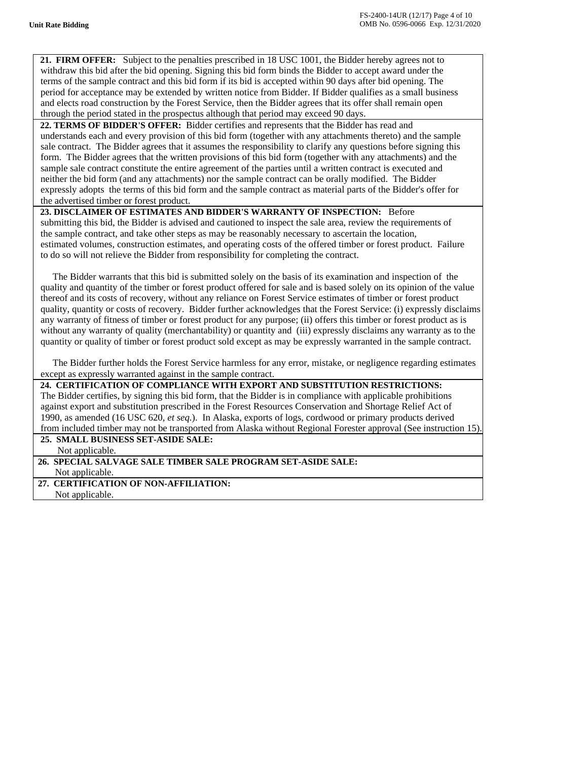$\overline{\phantom{a}}$ 

 $\overline{\phantom{a}}$ 

 $\overline{\phantom{a}}$ 

**21. FIRM OFFER:** Subject to the penalties prescribed in 18 USC 1001, the Bidder hereby agrees not to withdraw this bid after the bid opening. Signing this bid form binds the Bidder to accept award under the terms of the sample contract and this bid form if its bid is accepted within 90 days after bid opening. The period for acceptance may be extended by written notice from Bidder. If Bidder qualifies as a small business and elects road construction by the Forest Service, then the Bidder agrees that its offer shall remain open through the period stated in the prospectus although that period may exceed 90 days.

**22. TERMS OF BIDDER'S OFFER:** Bidder certifies and represents that the Bidder has read and understands each and every provision of this bid form (together with any attachments thereto) and the sample sale contract. The Bidder agrees that it assumes the responsibility to clarify any questions before signing this form. The Bidder agrees that the written provisions of this bid form (together with any attachments) and the sample sale contract constitute the entire agreement of the parties until a written contract is executed and neither the bid form (and any attachments) nor the sample contract can be orally modified. The Bidder expressly adopts the terms of this bid form and the sample contract as material parts of the Bidder's offer for the advertised timber or forest product.

## **23. DISCLAIMER OF ESTIMATES AND BIDDER'S WARRANTY OF INSPECTION:** Before submitting this bid, the Bidder is advised and cautioned to inspect the sale area, review the requirements of the sample contract, and take other steps as may be reasonably necessary to ascertain the location, estimated volumes, construction estimates, and operating costs of the offered timber or forest product. Failure to do so will not relieve the Bidder from responsibility for completing the contract.

The Bidder warrants that this bid is submitted solely on the basis of its examination and inspection of the quality and quantity of the timber or forest product offered for sale and is based solely on its opinion of the value thereof and its costs of recovery, without any reliance on Forest Service estimates of timber or forest product quality, quantity or costs of recovery. Bidder further acknowledges that the Forest Service: (i) expressly disclaims any warranty of fitness of timber or forest product for any purpose; (ii) offers this timber or forest product as is without any warranty of quality (merchantability) or quantity and (iii) expressly disclaims any warranty as to the quantity or quality of timber or forest product sold except as may be expressly warranted in the sample contract.

The Bidder further holds the Forest Service harmless for any error, mistake, or negligence regarding estimates except as expressly warranted against in the sample contract.

 **24. CERTIFICATION OF COMPLIANCE WITH EXPORT AND SUBSTITUTION RESTRICTIONS:** The Bidder certifies, by signing this bid form, that the Bidder is in compliance with applicable prohibitions against export and substitution prescribed in the Forest Resources Conservation and Shortage Relief Act of 1990, as amended (16 USC 620, *et seq.*). In Alaska, exports of logs, cordwood or primary products derived from included timber may not be transported from Alaska without Regional Forester approval (See instruction 15).

**25. SMALL BUSINESS SET-ASIDE SALE:** 

Not applicable.

## **26. SPECIAL SALVAGE SALE TIMBER SALE PROGRAM SET-ASIDE SALE:**

Not applicable.

 **27. CERTIFICATION OF NON-AFFILIATION:** Not applicable.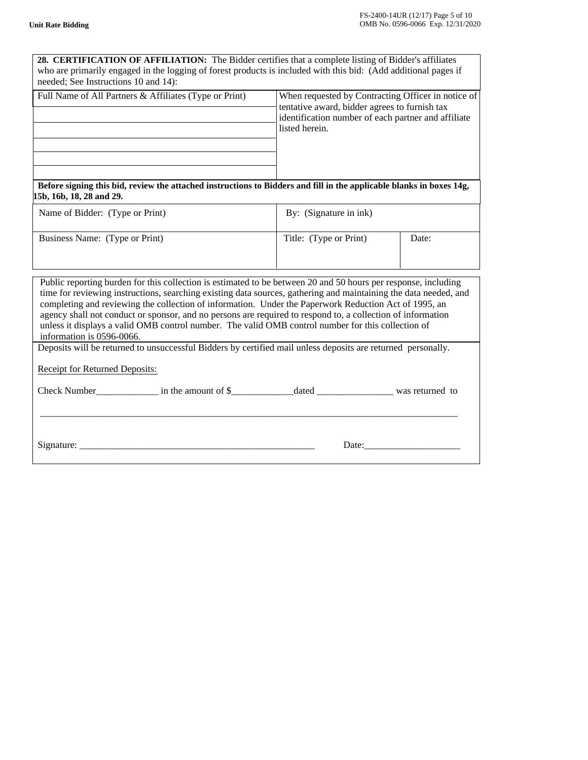| 28. CERTIFICATION OF AFFILIATION: The Bidder certifies that a complete listing of Bidder's affiliates<br>who are primarily engaged in the logging of forest products is included with this bid: (Add additional pages if<br>needed; See Instructions 10 and 14):                                                                                                                                                                                                                                                                                                                              |                                                                                                                                                                              |       |  |  |  |  |  |  |
|-----------------------------------------------------------------------------------------------------------------------------------------------------------------------------------------------------------------------------------------------------------------------------------------------------------------------------------------------------------------------------------------------------------------------------------------------------------------------------------------------------------------------------------------------------------------------------------------------|------------------------------------------------------------------------------------------------------------------------------------------------------------------------------|-------|--|--|--|--|--|--|
| Full Name of All Partners & Affiliates (Type or Print)                                                                                                                                                                                                                                                                                                                                                                                                                                                                                                                                        | When requested by Contracting Officer in notice of<br>tentative award, bidder agrees to furnish tax<br>identification number of each partner and affiliate<br>listed herein. |       |  |  |  |  |  |  |
| Before signing this bid, review the attached instructions to Bidders and fill in the applicable blanks in boxes 14g,<br>15b, 16b, 18, 28 and 29.                                                                                                                                                                                                                                                                                                                                                                                                                                              |                                                                                                                                                                              |       |  |  |  |  |  |  |
| Name of Bidder: (Type or Print)                                                                                                                                                                                                                                                                                                                                                                                                                                                                                                                                                               | By: (Signature in ink)                                                                                                                                                       |       |  |  |  |  |  |  |
| Business Name: (Type or Print)                                                                                                                                                                                                                                                                                                                                                                                                                                                                                                                                                                | Title: (Type or Print)                                                                                                                                                       | Date: |  |  |  |  |  |  |
| Public reporting burden for this collection is estimated to be between 20 and 50 hours per response, including<br>time for reviewing instructions, searching existing data sources, gathering and maintaining the data needed, and<br>completing and reviewing the collection of information. Under the Paperwork Reduction Act of 1995, an<br>agency shall not conduct or sponsor, and no persons are required to respond to, a collection of information<br>unless it displays a valid OMB control number. The valid OMB control number for this collection of<br>information is 0596-0066. |                                                                                                                                                                              |       |  |  |  |  |  |  |
| Deposits will be returned to unsuccessful Bidders by certified mail unless deposits are returned personally.                                                                                                                                                                                                                                                                                                                                                                                                                                                                                  |                                                                                                                                                                              |       |  |  |  |  |  |  |
| Receipt for Returned Deposits:                                                                                                                                                                                                                                                                                                                                                                                                                                                                                                                                                                |                                                                                                                                                                              |       |  |  |  |  |  |  |
|                                                                                                                                                                                                                                                                                                                                                                                                                                                                                                                                                                                               |                                                                                                                                                                              |       |  |  |  |  |  |  |
|                                                                                                                                                                                                                                                                                                                                                                                                                                                                                                                                                                                               | Date:                                                                                                                                                                        |       |  |  |  |  |  |  |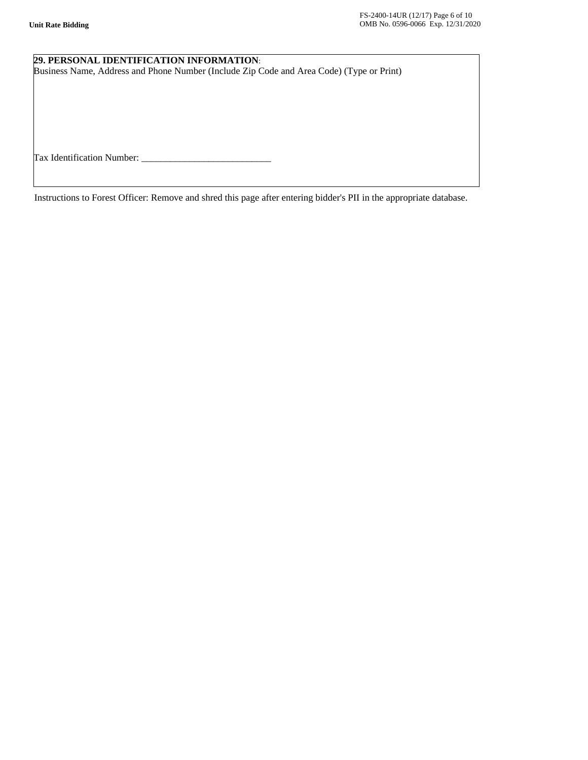# **29. PERSONAL IDENTIFICATION INFORMATION**:

Business Name, Address and Phone Number (Include Zip Code and Area Code) (Type or Print)

Tax Identification Number: \_\_\_\_\_\_\_\_\_\_\_\_\_\_\_\_\_\_\_\_\_\_\_\_\_\_\_

Instructions to Forest Officer: Remove and shred this page after entering bidder's PII in the appropriate database.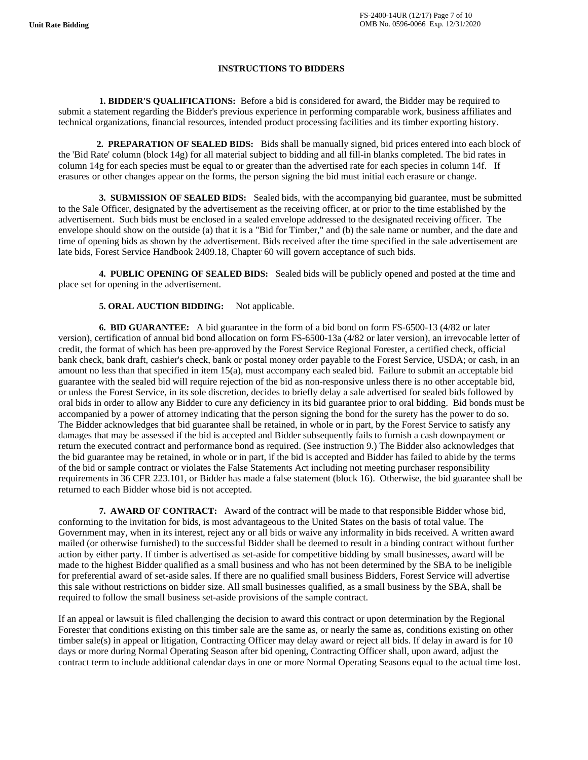## **INSTRUCTIONS TO BIDDERS**

**1. BIDDER'S QUALIFICATIONS:** Before a bid is considered for award, the Bidder may be required to submit a statement regarding the Bidder's previous experience in performing comparable work, business affiliates and technical organizations, financial resources, intended product processing facilities and its timber exporting history.

**2. PREPARATION OF SEALED BIDS:** Bids shall be manually signed, bid prices entered into each block of the 'Bid Rate' column (block 14g) for all material subject to bidding and all fill-in blanks completed. The bid rates in column 14g for each species must be equal to or greater than the advertised rate for each species in column 14f. If erasures or other changes appear on the forms, the person signing the bid must initial each erasure or change.

**3. SUBMISSION OF SEALED BIDS:** Sealed bids, with the accompanying bid guarantee, must be submitted to the Sale Officer, designated by the advertisement as the receiving officer, at or prior to the time established by the advertisement. Such bids must be enclosed in a sealed envelope addressed to the designated receiving officer. The envelope should show on the outside (a) that it is a "Bid for Timber," and (b) the sale name or number, and the date and time of opening bids as shown by the advertisement. Bids received after the time specified in the sale advertisement are late bids, Forest Service Handbook 2409.18, Chapter 60 will govern acceptance of such bids.

**4. PUBLIC OPENING OF SEALED BIDS:** Sealed bids will be publicly opened and posted at the time and place set for opening in the advertisement.

## **5. ORAL AUCTION BIDDING:** Not applicable.

**6. BID GUARANTEE:** A bid guarantee in the form of a bid bond on form FS-6500-13 (4/82 or later version), certification of annual bid bond allocation on form FS-6500-13a (4/82 or later version), an irrevocable letter of credit, the format of which has been pre-approved by the Forest Service Regional Forester, a certified check, official bank check, bank draft, cashier's check, bank or postal money order payable to the Forest Service, USDA; or cash, in an amount no less than that specified in item 15(a), must accompany each sealed bid. Failure to submit an acceptable bid guarantee with the sealed bid will require rejection of the bid as non-responsive unless there is no other acceptable bid, or unless the Forest Service, in its sole discretion, decides to briefly delay a sale advertised for sealed bids followed by oral bids in order to allow any Bidder to cure any deficiency in its bid guarantee prior to oral bidding. Bid bonds must be accompanied by a power of attorney indicating that the person signing the bond for the surety has the power to do so. The Bidder acknowledges that bid guarantee shall be retained, in whole or in part, by the Forest Service to satisfy any damages that may be assessed if the bid is accepted and Bidder subsequently fails to furnish a cash downpayment or return the executed contract and performance bond as required. (See instruction 9.) The Bidder also acknowledges that the bid guarantee may be retained, in whole or in part, if the bid is accepted and Bidder has failed to abide by the terms of the bid or sample contract or violates the False Statements Act including not meeting purchaser responsibility requirements in 36 CFR 223.101, or Bidder has made a false statement (block 16). Otherwise, the bid guarantee shall be returned to each Bidder whose bid is not accepted.

**7. AWARD OF CONTRACT:** Award of the contract will be made to that responsible Bidder whose bid, conforming to the invitation for bids, is most advantageous to the United States on the basis of total value. The Government may, when in its interest, reject any or all bids or waive any informality in bids received. A written award mailed (or otherwise furnished) to the successful Bidder shall be deemed to result in a binding contract without further action by either party. If timber is advertised as set-aside for competitive bidding by small businesses, award will be made to the highest Bidder qualified as a small business and who has not been determined by the SBA to be ineligible for preferential award of set-aside sales. If there are no qualified small business Bidders, Forest Service will advertise this sale without restrictions on bidder size. All small businesses qualified, as a small business by the SBA, shall be required to follow the small business set-aside provisions of the sample contract.

If an appeal or lawsuit is filed challenging the decision to award this contract or upon determination by the Regional Forester that conditions existing on this timber sale are the same as, or nearly the same as, conditions existing on other timber sale(s) in appeal or litigation, Contracting Officer may delay award or reject all bids. If delay in award is for 10 days or more during Normal Operating Season after bid opening, Contracting Officer shall, upon award, adjust the contract term to include additional calendar days in one or more Normal Operating Seasons equal to the actual time lost.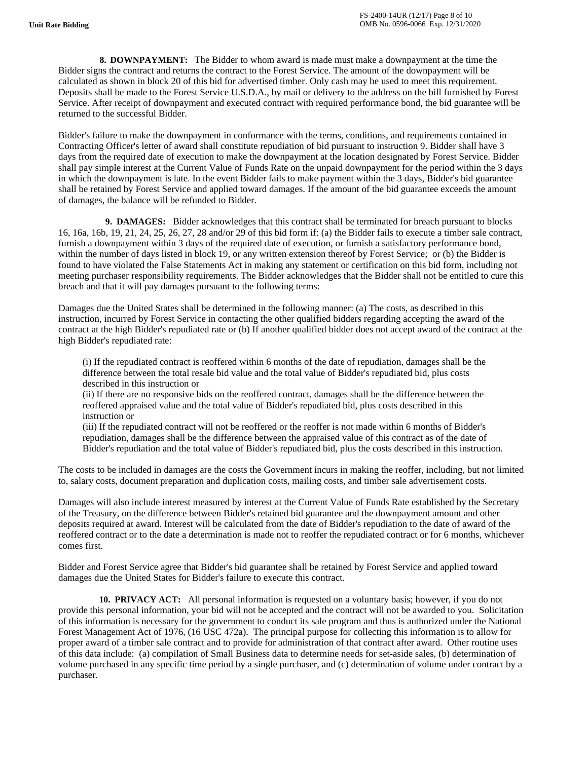**8. DOWNPAYMENT:** The Bidder to whom award is made must make a downpayment at the time the Bidder signs the contract and returns the contract to the Forest Service. The amount of the downpayment will be calculated as shown in block 20 of this bid for advertised timber. Only cash may be used to meet this requirement. Deposits shall be made to the Forest Service U.S.D.A., by mail or delivery to the address on the bill furnished by Forest Service. After receipt of downpayment and executed contract with required performance bond, the bid guarantee will be returned to the successful Bidder.

Bidder's failure to make the downpayment in conformance with the terms, conditions, and requirements contained in Contracting Officer's letter of award shall constitute repudiation of bid pursuant to instruction 9. Bidder shall have 3 days from the required date of execution to make the downpayment at the location designated by Forest Service. Bidder shall pay simple interest at the Current Value of Funds Rate on the unpaid downpayment for the period within the 3 days in which the downpayment is late. In the event Bidder fails to make payment within the 3 days, Bidder's bid guarantee shall be retained by Forest Service and applied toward damages. If the amount of the bid guarantee exceeds the amount of damages, the balance will be refunded to Bidder.

 **9. DAMAGES:** Bidder acknowledges that this contract shall be terminated for breach pursuant to blocks 16, 16a, 16b, 19, 21, 24, 25, 26, 27, 28 and/or 29 of this bid form if: (a) the Bidder fails to execute a timber sale contract, furnish a downpayment within 3 days of the required date of execution, or furnish a satisfactory performance bond, within the number of days listed in block 19, or any written extension thereof by Forest Service; or (b) the Bidder is found to have violated the False Statements Act in making any statement or certification on this bid form, including not meeting purchaser responsibility requirements. The Bidder acknowledges that the Bidder shall not be entitled to cure this breach and that it will pay damages pursuant to the following terms:

Damages due the United States shall be determined in the following manner: (a) The costs, as described in this instruction, incurred by Forest Service in contacting the other qualified bidders regarding accepting the award of the contract at the high Bidder's repudiated rate or (b) If another qualified bidder does not accept award of the contract at the high Bidder's repudiated rate:

 (i) If the repudiated contract is reoffered within 6 months of the date of repudiation, damages shall be the difference between the total resale bid value and the total value of Bidder's repudiated bid, plus costs described in this instruction or

 (ii) If there are no responsive bids on the reoffered contract, damages shall be the difference between the reoffered appraised value and the total value of Bidder's repudiated bid, plus costs described in this instruction or

 (iii) If the repudiated contract will not be reoffered or the reoffer is not made within 6 months of Bidder's repudiation, damages shall be the difference between the appraised value of this contract as of the date of Bidder's repudiation and the total value of Bidder's repudiated bid, plus the costs described in this instruction.

The costs to be included in damages are the costs the Government incurs in making the reoffer, including, but not limited to, salary costs, document preparation and duplication costs, mailing costs, and timber sale advertisement costs.

Damages will also include interest measured by interest at the Current Value of Funds Rate established by the Secretary of the Treasury, on the difference between Bidder's retained bid guarantee and the downpayment amount and other deposits required at award. Interest will be calculated from the date of Bidder's repudiation to the date of award of the reoffered contract or to the date a determination is made not to reoffer the repudiated contract or for 6 months, whichever comes first.

Bidder and Forest Service agree that Bidder's bid guarantee shall be retained by Forest Service and applied toward damages due the United States for Bidder's failure to execute this contract.

 **10. PRIVACY ACT:** All personal information is requested on a voluntary basis; however, if you do not provide this personal information, your bid will not be accepted and the contract will not be awarded to you. Solicitation of this information is necessary for the government to conduct its sale program and thus is authorized under the National Forest Management Act of 1976, (16 USC 472a). The principal purpose for collecting this information is to allow for proper award of a timber sale contract and to provide for administration of that contract after award. Other routine uses of this data include: (a) compilation of Small Business data to determine needs for set-aside sales, (b) determination of volume purchased in any specific time period by a single purchaser, and (c) determination of volume under contract by a purchaser.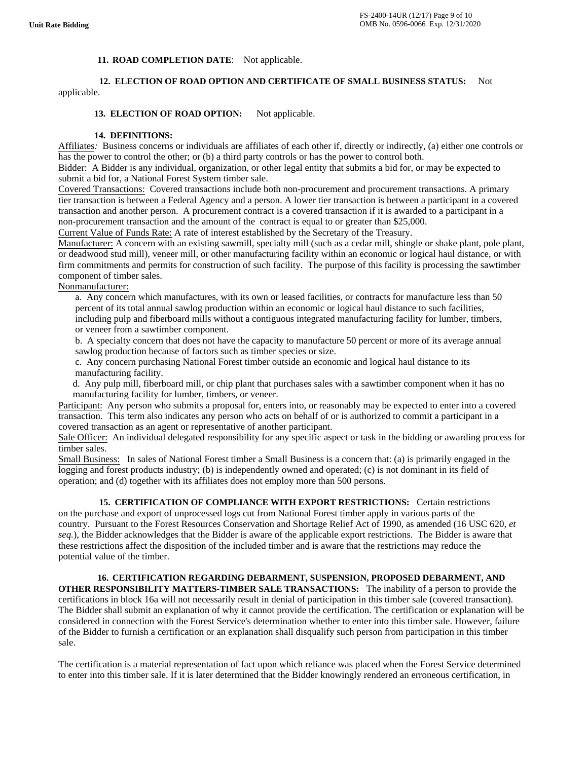## 11. ROAD COMPLETION DATE: Not applicable.

## **12. ELECTION OF ROAD OPTION AND CERTIFICATE OF SMALL BUSINESS STATUS:** Not applicable.

## 13. ELECTION OF ROAD OPTION: Not applicable.

#### **14. DEFINITIONS:**

Affiliates*:* Business concerns or individuals are affiliates of each other if, directly or indirectly, (a) either one controls or has the power to control the other; or (b) a third party controls or has the power to control both.

Bidder: A Bidder is any individual, organization, or other legal entity that submits a bid for, or may be expected to submit a bid for, a National Forest System timber sale.

Covered Transactions: Covered transactions include both non-procurement and procurement transactions. A primary tier transaction is between a Federal Agency and a person. A lower tier transaction is between a participant in a covered transaction and another person. A procurement contract is a covered transaction if it is awarded to a participant in a non-procurement transaction and the amount of the contract is equal to or greater than \$25,000.

Current Value of Funds Rate: A rate of interest established by the Secretary of the Treasury.

Manufacturer: A concern with an existing sawmill, specialty mill (such as a cedar mill, shingle or shake plant, pole plant, or deadwood stud mill), veneer mill, or other manufacturing facility within an economic or logical haul distance, or with firm commitments and permits for construction of such facility. The purpose of this facility is processing the sawtimber component of timber sales.

## Nonmanufacturer:

 a. Any concern which manufactures, with its own or leased facilities, or contracts for manufacture less than 50 percent of its total annual sawlog production within an economic or logical haul distance to such facilities, including pulp and fiberboard mills without a contiguous integrated manufacturing facility for lumber, timbers, or veneer from a sawtimber component.

b. A specialty concern that does not have the capacity to manufacture 50 percent or more of its average annual sawlog production because of factors such as timber species or size.

 c. Any concern purchasing National Forest timber outside an economic and logical haul distance to its manufacturing facility.

 d. Any pulp mill, fiberboard mill, or chip plant that purchases sales with a sawtimber component when it has no manufacturing facility for lumber, timbers, or veneer.

Participant: Any person who submits a proposal for, enters into, or reasonably may be expected to enter into a covered transaction. This term also indicates any person who acts on behalf of or is authorized to commit a participant in a covered transaction as an agent or representative of another participant.

Sale Officer: An individual delegated responsibility for any specific aspect or task in the bidding or awarding process for timber sales.

Small Business: In sales of National Forest timber a Small Business is a concern that: (a) is primarily engaged in the logging and forest products industry; (b) is independently owned and operated; (c) is not dominant in its field of operation; and (d) together with its affiliates does not employ more than 500 persons.

 **15. CERTIFICATION OF COMPLIANCE WITH EXPORT RESTRICTIONS:** Certain restrictions on the purchase and export of unprocessed logs cut from National Forest timber apply in various parts of the country. Pursuant to the Forest Resources Conservation and Shortage Relief Act of 1990, as amended (16 USC 620, *et seq.*), the Bidder acknowledges that the Bidder is aware of the applicable export restrictions. The Bidder is aware that these restrictions affect the disposition of the included timber and is aware that the restrictions may reduce the potential value of the timber.

#### **16. CERTIFICATION REGARDING DEBARMENT, SUSPENSION, PROPOSED DEBARMENT, AND**

**OTHER RESPONSIBILITY MATTERS-TIMBER SALE TRANSACTIONS:** The inability of a person to provide the certifications in block 16a will not necessarily result in denial of participation in this timber sale (covered transaction). The Bidder shall submit an explanation of why it cannot provide the certification. The certification or explanation will be considered in connection with the Forest Service's determination whether to enter into this timber sale. However, failure of the Bidder to furnish a certification or an explanation shall disqualify such person from participation in this timber sale.

The certification is a material representation of fact upon which reliance was placed when the Forest Service determined to enter into this timber sale. If it is later determined that the Bidder knowingly rendered an erroneous certification, in